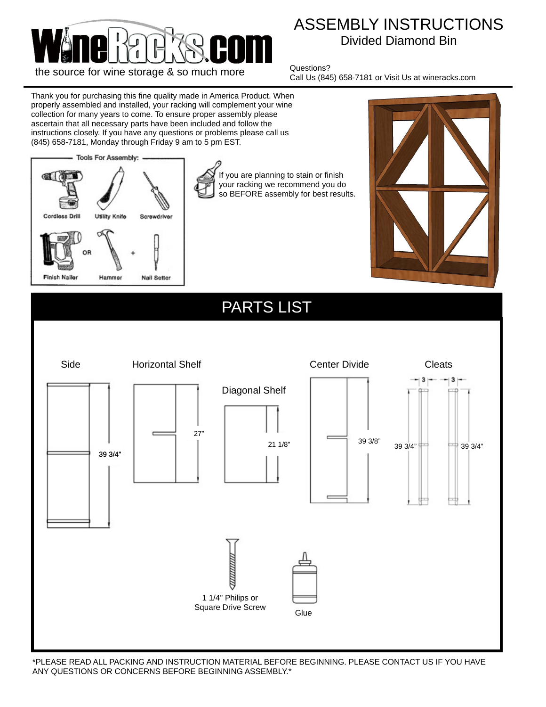

## ASSEMBLY INSTRUCTIONS Divided Diamond Bin

Questions? Call Us (845) 658-7181 or Visit Us at wineracks.com

Thank you for purchasing this fine quality made in America Product. When properly assembled and installed, your racking will complement your wine collection for many years to come. To ensure proper assembly please ascertain that all necessary parts have been included and follow the instructions closely. If you have any questions or problems please call us (845) 658-7181, Monday through Friday 9 am to 5 pm EST.



If you are planning to stain or finish your racking we recommend you do so BEFORE assembly for best results.



## PARTS LIST



\*PLEASE READ ALL PACKING AND INSTRUCTION MATERIAL BEFORE BEGINNING. PLEASE CONTACT US IF YOU HAVE ANY QUESTIONS OR CONCERNS BEFORE BEGINNING ASSEMBLY.\*